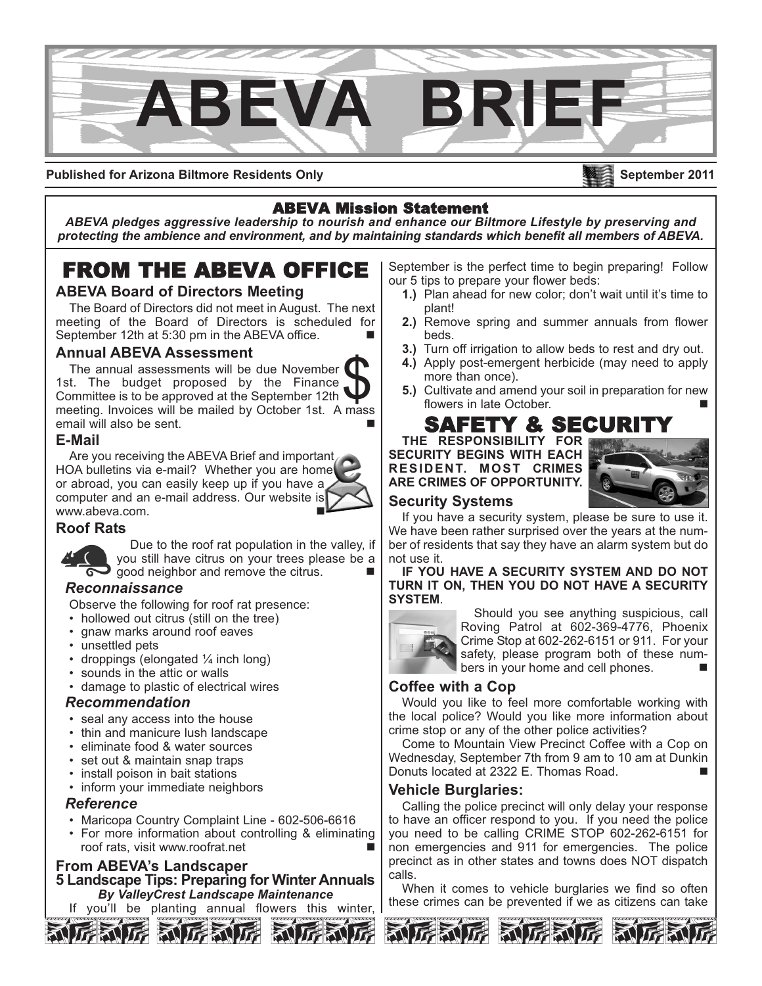

**Published for Arizona Biltmore Residents Only**

### ABEVA Mission Statement

*ABEVA pledges aggressive leadership to nourish and enhance our Biltmore Lifestyle by preserving and protecting the ambience and environment, and by maintaining standards which benefit all members of ABEVA.*

# FROM THE ABEVA OFFICE

#### **ABEVA Board of Directors Meeting**

The Board of Directors did not meet in August. The next meeting of the Board of Directors is scheduled for September 12th at 5:30 pm in the ABEVA office.

#### **Annual ABEVA Assessment**

The annual assessments will be due November 1st. The budget proposed by the Finance Committee is to be approved at the September 12th The annual assessments will be due November<br>
1st. The budget proposed by the Finance<br>
Committee is to be approved at the September 12th<br>
meeting. Invoices will be mailed by October 1st. A mass email will also be sent.

#### **E-Mail**

Are you receiving the ABEVA Brief and important HOA bulletins via e-mail? Whether you are home or abroad, you can easily keep up if you have a computer and an e-mail address. Our website is www.abeva.com.

#### **Roof Rats**

Due to the roof rat population in the valley, if you still have citrus on your trees please be a  $\frac{1}{2}$  good neighbor and remove the citrus.

#### *Reconnaissance*

Observe the following for roof rat presence:

- hollowed out citrus (still on the tree)
- gnaw marks around roof eaves
- unsettled pets
- droppings (elongated  $\frac{1}{4}$  inch long)
- sounds in the attic or walls
- damage to plastic of electrical wires

#### *Recommendation*

- seal any access into the house
- thin and manicure lush landscape
- eliminate food & water sources
- set out & maintain snap traps
- install poison in bait stations
- inform your immediate neighbors

#### *Reference*

- Maricopa Country Complaint Line 602-506-6616
- For more information about controlling & eliminating roof rats, visit www.roofrat.net

#### **From ABEVA's Landscaper 5 Landscape Tips: Preparing for Winter Annuals** *By ValleyCrest Landscape Maintenance*

you'll be planting annual flowers this winter,

September is the perfect time to begin preparing! Follow our 5 tips to prepare your flower beds:

- **1.)** Plan ahead for new color; don't wait until it's time to plant!
- **2.)** Remove spring and summer annuals from flower beds.
- **3.)** Turn off irrigation to allow beds to rest and dry out.
- **4.)** Apply post-emergent herbicide (may need to apply more than once).
- **5.)** Cultivate and amend your soil in preparation for new flowers in late October.

## SAFETY & SECUR

**THE RESPONSIBILITY FOR SECURITY BEGINS WITH EACH RESIDENT. MOST CRIMES ARE CRIMES OF OPPORTUNITY.** 



**September 2011**

#### **Security Systems**

If you have a security system, please be sure to use it. We have been rather surprised over the years at the number of residents that say they have an alarm system but do not use it.

**IF YOU HAVE A SECURITY SYSTEM AND DO NOT TURN IT ON, THEN YOU DO NOT HAVE A SECURITY SYSTEM**.



Should you see anything suspicious, call Roving Patrol at 602-369-4776, Phoenix Crime Stop at 602-262-6151 or 911. For your safety, please program both of these numbers in your home and cell phones.

#### **Coffee with a Cop**

Would you like to feel more comfortable working with the local police? Would you like more information about crime stop or any of the other police activities?

Come to Mountain View Precinct Coffee with a Cop on Wednesday, September 7th from 9 am to 10 am at Dunkin Donuts located at 2322 E. Thomas Road.

#### **Vehicle Burglaries:**

Calling the police precinct will only delay your response to have an officer respond to you. If you need the police you need to be calling CRIME STOP 602-262-6151 for non emergencies and 911 for emergencies. The police precinct as in other states and towns does NOT dispatch calls.

When it comes to vehicle burglaries we find so often these crimes can be prevented if we as citizens can take





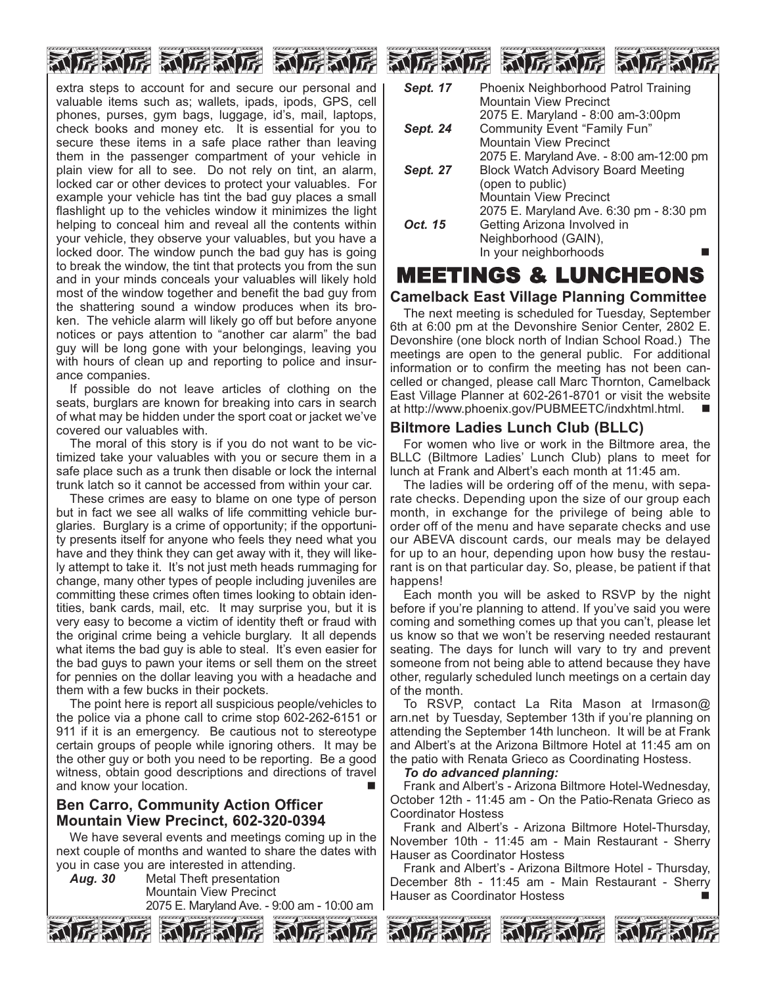

extra steps to account for and secure our personal and valuable items such as; wallets, ipads, ipods, GPS, cell phones, purses, gym bags, luggage, id's, mail, laptops, check books and money etc. It is essential for you to secure these items in a safe place rather than leaving them in the passenger compartment of your vehicle in plain view for all to see. Do not rely on tint, an alarm, locked car or other devices to protect your valuables. For example your vehicle has tint the bad guy places a small flashlight up to the vehicles window it minimizes the light helping to conceal him and reveal all the contents within your vehicle, they observe your valuables, but you have a locked door. The window punch the bad guy has is going to break the window, the tint that protects you from the sun and in your minds conceals your valuables will likely hold most of the window together and benefit the bad guy from the shattering sound a window produces when its broken. The vehicle alarm will likely go off but before anyone notices or pays attention to "another car alarm" the bad guy will be long gone with your belongings, leaving you with hours of clean up and reporting to police and insurance companies.

If possible do not leave articles of clothing on the seats, burglars are known for breaking into cars in search of what may be hidden under the sport coat or jacket we've covered our valuables with.

The moral of this story is if you do not want to be victimized take your valuables with you or secure them in a safe place such as a trunk then disable or lock the internal trunk latch so it cannot be accessed from within your car.

These crimes are easy to blame on one type of person but in fact we see all walks of life committing vehicle burglaries. Burglary is a crime of opportunity; if the opportunity presents itself for anyone who feels they need what you have and they think they can get away with it, they will likely attempt to take it. It's not just meth heads rummaging for change, many other types of people including juveniles are committing these crimes often times looking to obtain identities, bank cards, mail, etc. It may surprise you, but it is very easy to become a victim of identity theft or fraud with the original crime being a vehicle burglary. It all depends what items the bad guy is able to steal. It's even easier for the bad guys to pawn your items or sell them on the street for pennies on the dollar leaving you with a headache and them with a few bucks in their pockets.

The point here is report all suspicious people/vehicles to the police via a phone call to crime stop 602-262-6151 or 911 if it is an emergency. Be cautious not to stereotype certain groups of people while ignoring others. It may be the other guy or both you need to be reporting. Be a good witness, obtain good descriptions and directions of travel and know your location.

#### **Ben Carro, Community Action Officer Mountain View Precinct, 602-320-0394**

We have several events and meetings coming up in the next couple of months and wanted to share the dates with you in case you are interested in attending.

*Aug. 30* Metal Theft presentation Mountain View Precinct

2075 E. Maryland Ave. - 9:00 am - 10:00 am



| Sept. 17        | Phoenix Neighborhood Patrol Training      |
|-----------------|-------------------------------------------|
|                 | <b>Mountain View Precinct</b>             |
|                 | 2075 E. Maryland - 8:00 am-3:00pm         |
| Sept. 24        | Community Event "Family Fun"              |
|                 | <b>Mountain View Precinct</b>             |
|                 | 2075 E. Maryland Ave. - 8:00 am-12:00 pm  |
| <b>Sept. 27</b> | <b>Block Watch Advisory Board Meeting</b> |
|                 | (open to public)                          |
|                 | <b>Mountain View Precinct</b>             |
|                 | 2075 E. Maryland Ave. 6:30 pm - 8:30 pm   |
| Oct. 15         | Getting Arizona Involved in               |
|                 | Neighborhood (GAIN),                      |
|                 | In your neighborhoods                     |
|                 |                                           |

### MEETINGS & LUNCHEONS

#### **Camelback East Village Planning Committee**

The next meeting is scheduled for Tuesday, September 6th at 6:00 pm at the Devonshire Senior Center, 2802 E. Devonshire (one block north of Indian School Road.) The meetings are open to the general public. For additional information or to confirm the meeting has not been cancelled or changed, please call Marc Thornton, Camelback East Village Planner at 602-261-8701 or visit the website at http://www.phoenix.gov/PUBMEETC/indxhtml.html.

#### **Biltmore Ladies Lunch Club (BLLC)**

For women who live or work in the Biltmore area, the BLLC (Biltmore Ladies' Lunch Club) plans to meet for lunch at Frank and Albert's each month at 11:45 am.

The ladies will be ordering off of the menu, with separate checks. Depending upon the size of our group each month, in exchange for the privilege of being able to order off of the menu and have separate checks and use our ABEVA discount cards, our meals may be delayed for up to an hour, depending upon how busy the restaurant is on that particular day. So, please, be patient if that happens!

Each month you will be asked to RSVP by the night before if you're planning to attend. If you've said you were coming and something comes up that you can't, please let us know so that we won't be reserving needed restaurant seating. The days for lunch will vary to try and prevent someone from not being able to attend because they have other, regularly scheduled lunch meetings on a certain day of the month.

To RSVP, contact La Rita Mason at lrmason@ arn.net by Tuesday, September 13th if you're planning on attending the September 14th luncheon. It will be at Frank and Albert's at the Arizona Biltmore Hotel at 11:45 am on the patio with Renata Grieco as Coordinating Hostess.

#### *To do advanced planning:*

Frank and Albert's - Arizona Biltmore Hotel-Wednesday, October 12th - 11:45 am - On the Patio-Renata Grieco as Coordinator Hostess

Frank and Albert's - Arizona Biltmore Hotel-Thursday, November 10th - 11:45 am - Main Restaurant - Sherry Hauser as Coordinator Hostess

Frank and Albert's - Arizona Biltmore Hotel - Thursday, December 8th - 11:45 am - Main Restaurant - Sherry Hauser as Coordinator Hostess new settlement of December 1988. ■









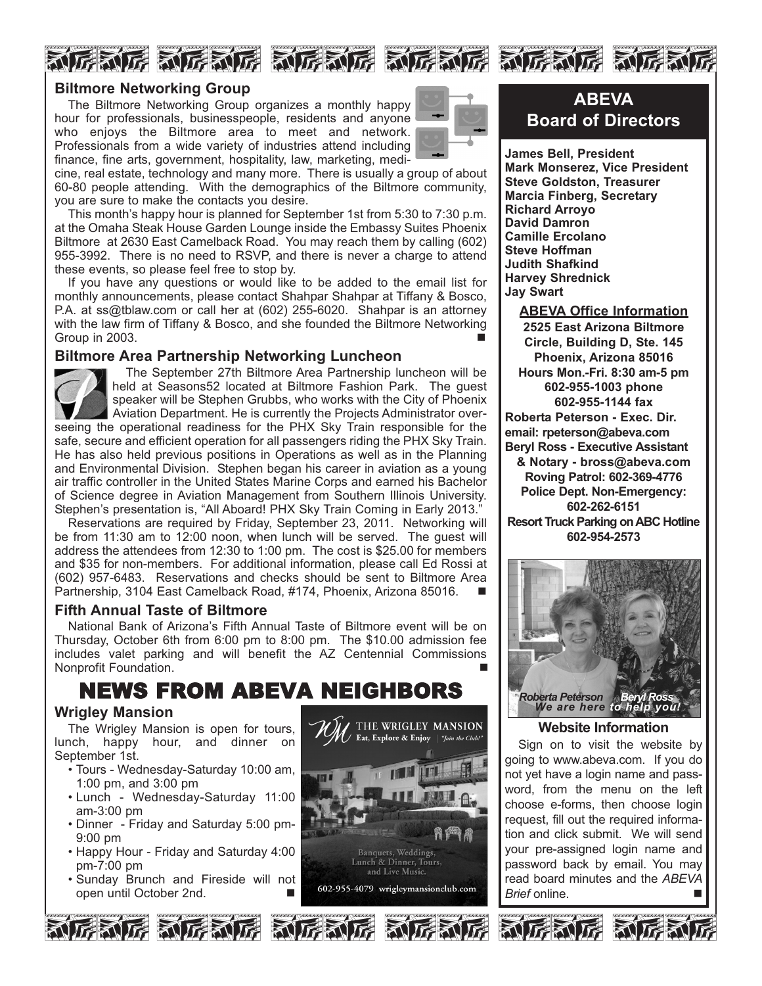

# NG NG NG NG NG NG NG NG NG NG NG NG



The Biltmore Networking Group organizes a monthly happy hour for professionals, businesspeople, residents and anyone who enjoys the Biltmore area to meet and network. Professionals from a wide variety of industries attend including finance, fine arts, government, hospitality, law, marketing, medi-



cine, real estate, technology and many more. There is usually a group of about 60-80 people attending. With the demographics of the Biltmore community, you are sure to make the contacts you desire.

This month's happy hour is planned for September 1st from 5:30 to 7:30 p.m. at the Omaha Steak House Garden Lounge inside the Embassy Suites Phoenix Biltmore at 2630 East Camelback Road. You may reach them by calling (602) 955-3992. There is no need to RSVP, and there is never a charge to attend these events, so please feel free to stop by.

If you have any questions or would like to be added to the email list for monthly announcements, please contact Shahpar Shahpar at Tiffany & Bosco, P.A. at ss@tblaw.com or call her at (602) 255-6020. Shahpar is an attorney with the law firm of Tiffany & Bosco, and she founded the Biltmore Networking Group in 2003.

#### **Biltmore Area Partnership Networking Luncheon**



The September 27th Biltmore Area Partnership luncheon will be held at Seasons52 located at Biltmore Fashion Park. The guest speaker will be Stephen Grubbs, who works with the City of Phoenix Aviation Department. He is currently the Projects Administrator overseeing the operational readiness for the PHX Sky Train responsible for the safe, secure and efficient operation for all passengers riding the PHX Sky Train. He has also held previous positions in Operations as well as in the Planning and Environmental Division. Stephen began his career in aviation as a young air traffic controller in the United States Marine Corps and earned his Bachelor of Science degree in Aviation Management from Southern Illinois University. Stephen's presentation is, "All Aboard! PHX Sky Train Coming in Early 2013."

Reservations are required by Friday, September 23, 2011. Networking will be from 11:30 am to 12:00 noon, when lunch will be served. The guest will address the attendees from 12:30 to 1:00 pm. The cost is \$25.00 for members and \$35 for non-members. For additional information, please call Ed Rossi at (602) 957-6483. Reservations and checks should be sent to Biltmore Area Partnership, 3104 East Camelback Road, #174, Phoenix, Arizona 85016.

#### **Fifth Annual Taste of Biltmore**

National Bank of Arizona's Fifth Annual Taste of Biltmore event will be on Thursday, October 6th from 6:00 pm to 8:00 pm. The \$10.00 admission fee includes valet parking and will benefit the AZ Centennial Commissions Nonprofit Foundation.

# NEWS FROM ABEVA NEIGHBORS

#### **Wrigley Mansion**

The Wrigley Mansion is open for tours, lunch, happy hour, and dinner on September 1st.

- Tours Wednesday-Saturday 10:00 am, 1:00 pm, and 3:00 pm
- Lunch Wednesday-Saturday 11:00 am-3:00 pm
- Dinner Friday and Saturday 5:00 pm-9:00 pm
- Happy Hour Friday and Saturday 4:00 pm-7:00 pm
- Sunday Brunch and Fireside will not open until October 2nd.



### **ABEVA Board of Directors**

**James Bell, President Mark Monserez, Vice President Steve Goldston, Treasurer Marcia Finberg, Secretary Richard Arroyo David Damron Camille Ercolano Steve Hoffman Judith Shafkind Harvey Shrednick Jay Swart**

**ABEVA Office Information 2525 East Arizona Biltmore Circle, Building D, Ste. 145 Phoenix, Arizona 85016 Hours Mon.-Fri. 8:30 am-5 pm 602-955-1003 phone 602-955-1144 fax Roberta Peterson - Exec. Dir. email: rpeterson@abeva.com Beryl Ross - Executive Assistant & Notary - bross@abeva.com Roving Patrol: 602-369-4776 Police Dept. Non-Emergency: 602-262-6151 Resort Truck Parking on ABC Hotline 602-954-2573**



#### **Website Information**

Sign on to visit the website by going to www.abeva.com. If you do not yet have a login name and password, from the menu on the left choose e-forms, then choose login request, fill out the required information and click submit. We will send your pre-assigned login name and password back by email. You may read board minutes and the *ABEVA Brief* online. n

和厉利厉